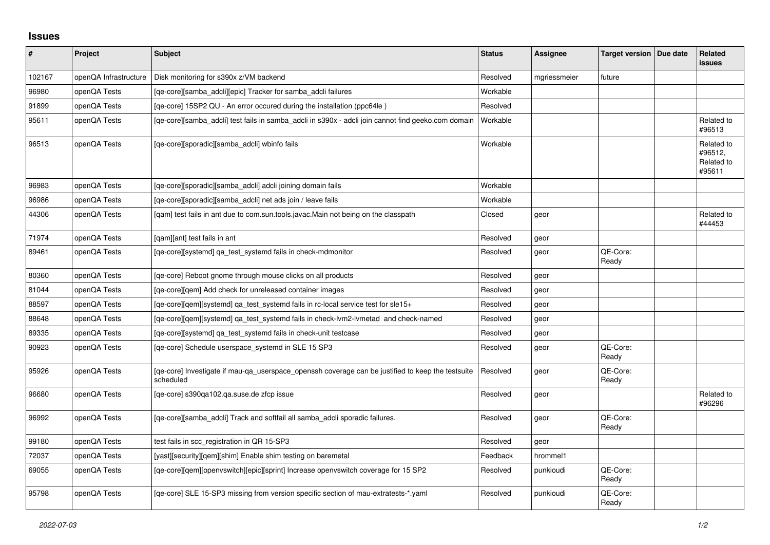## **Issues**

| #      | Project               | <b>Subject</b>                                                                                                 | <b>Status</b> | <b>Assignee</b> | Target version   Due date | Related<br><b>issues</b>                      |
|--------|-----------------------|----------------------------------------------------------------------------------------------------------------|---------------|-----------------|---------------------------|-----------------------------------------------|
| 102167 | openQA Infrastructure | Disk monitoring for s390x z/VM backend                                                                         | Resolved      | mgriessmeier    | future                    |                                               |
| 96980  | openQA Tests          | [qe-core][samba_adcli][epic] Tracker for samba_adcli failures                                                  | Workable      |                 |                           |                                               |
| 91899  | openQA Tests          | [qe-core] 15SP2 QU - An error occured during the installation (ppc64le)                                        | Resolved      |                 |                           |                                               |
| 95611  | openQA Tests          | [qe-core][samba_adcli] test fails in samba_adcli in s390x - adcli join cannot find geeko.com domain            | Workable      |                 |                           | Related to<br>#96513                          |
| 96513  | openQA Tests          | [qe-core][sporadic][samba_adcli] wbinfo fails                                                                  | Workable      |                 |                           | Related to<br>#96512,<br>Related to<br>#95611 |
| 96983  | openQA Tests          | [qe-core][sporadic][samba_adcli] adcli joining domain fails                                                    | Workable      |                 |                           |                                               |
| 96986  | openQA Tests          | [qe-core][sporadic][samba_adcli] net ads join / leave fails                                                    | Workable      |                 |                           |                                               |
| 44306  | openQA Tests          | [gam] test fails in ant due to com.sun.tools.javac.Main not being on the classpath                             | Closed        | geor            |                           | Related to<br>#44453                          |
| 71974  | openQA Tests          | [qam][ant] test fails in ant                                                                                   | Resolved      | geor            |                           |                                               |
| 89461  | openQA Tests          | [qe-core][systemd] qa_test_systemd fails in check-mdmonitor                                                    | Resolved      | geor            | QE-Core:<br>Ready         |                                               |
| 80360  | openQA Tests          | [ge-core] Reboot gnome through mouse clicks on all products                                                    | Resolved      | geor            |                           |                                               |
| 81044  | openQA Tests          | [qe-core][qem] Add check for unreleased container images                                                       | Resolved      | geor            |                           |                                               |
| 88597  | openQA Tests          | [qe-core][gem][systemd] ga_test_systemd fails in rc-local service test for sle15+                              | Resolved      | geor            |                           |                                               |
| 88648  | openQA Tests          | [qe-core][qem][systemd] qa_test_systemd fails in check-lvm2-lvmetad and check-named                            | Resolved      | geor            |                           |                                               |
| 89335  | openQA Tests          | [qe-core][systemd] qa_test_systemd fails in check-unit testcase                                                | Resolved      | geor            |                           |                                               |
| 90923  | openQA Tests          | [qe-core] Schedule userspace_systemd in SLE 15 SP3                                                             | Resolved      | geor            | QE-Core:<br>Ready         |                                               |
| 95926  | openQA Tests          | [ge-core] Investigate if mau-ga userspace openssh coverage can be justified to keep the testsuite<br>scheduled | Resolved      | geor            | QE-Core:<br>Ready         |                                               |
| 96680  | openQA Tests          | [qe-core] s390qa102.qa.suse.de zfcp issue                                                                      | Resolved      | geor            |                           | Related to<br>#96296                          |
| 96992  | openQA Tests          | [qe-core][samba_adcli] Track and softfail all samba_adcli sporadic failures.                                   | Resolved      | geor            | QE-Core:<br>Ready         |                                               |
| 99180  | openQA Tests          | test fails in scc registration in QR 15-SP3                                                                    | Resolved      | geor            |                           |                                               |
| 72037  | openQA Tests          | [yast][security][qem][shim] Enable shim testing on baremetal                                                   | Feedback      | hrommel1        |                           |                                               |
| 69055  | openQA Tests          | [qe-core][qem][openvswitch][epic][sprint] Increase openvswitch coverage for 15 SP2                             | Resolved      | punkioudi       | QE-Core:<br>Ready         |                                               |
| 95798  | openQA Tests          | [qe-core] SLE 15-SP3 missing from version specific section of mau-extratests-*.yaml                            | Resolved      | punkioudi       | QE-Core:<br>Ready         |                                               |